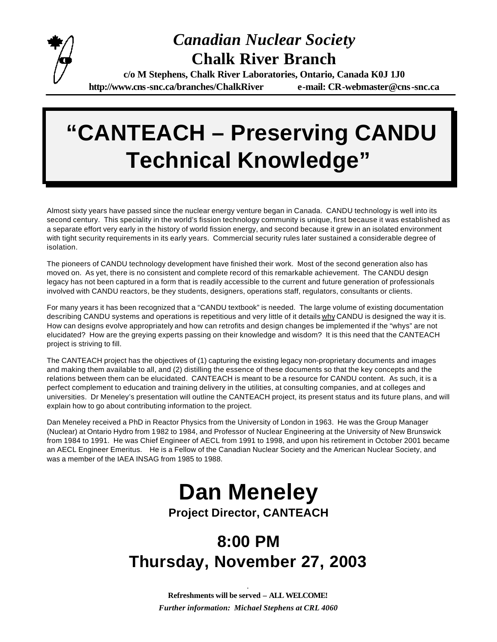

#### *Canadian Nuclear Society* **Chalk River Branch**

**c/o M Stephens, Chalk River Laboratories, Ontario, Canada K0J 1J0 http://www.cns-snc.ca/branches/ChalkRiver e-mail: CR-webmaster@cns-snc.ca**

# **"CANTEACH – Preserving CANDU Technical Knowledge"**

Almost sixty years have passed since the nuclear energy venture began in Canada. CANDU technology is well into its second century. This speciality in the world's fission technology community is unique, first because it was established as a separate effort very early in the history of world fission energy, and second because it grew in an isolated environment with tight security requirements in its early years. Commercial security rules later sustained a considerable degree of isolation.

The pioneers of CANDU technology development have finished their work. Most of the second generation also has moved on. As yet, there is no consistent and complete record of this remarkable achievement. The CANDU design legacy has not been captured in a form that is readily accessible to the current and future generation of professionals involved with CANDU reactors, be they students, designers, operations staff, regulators, consultants or clients.

For many years it has been recognized that a "CANDU textbook" is needed. The large volume of existing documentation describing CANDU systems and operations is repetitious and very little of it details why CANDU is designed the way it is. How can designs evolve appropriately and how can retrofits and design changes be implemented if the "whys" are not elucidated? How are the greying experts passing on their knowledge and wisdom? It is this need that the CANTEACH project is striving to fill.

The CANTEACH project has the objectives of (1) capturing the existing legacy non-proprietary documents and images and making them available to all, and (2) distilling the essence of these documents so that the key concepts and the relations between them can be elucidated. CANTEACH is meant to be a resource for CANDU content. As such, it is a perfect complement to education and training delivery in the utilities, at consulting companies, and at colleges and universities. Dr Meneley's presentation will outline the CANTEACH project, its present status and its future plans, and will explain how to go about contributing information to the project.

Dan Meneley received a PhD in Reactor Physics from the University of London in 1963. He was the Group Manager (Nuclear) at Ontario Hydro from 1982 to 1984, and Professor of Nuclear Engineering at the University of New Brunswick from 1984 to 1991. He was Chief Engineer of AECL from 1991 to 1998, and upon his retirement in October 2001 became an AECL Engineer Emeritus. He is a Fellow of the Canadian Nuclear Society and the American Nuclear Society, and was a member of the IAEA INSAG from 1985 to 1988.

## **Dan Meneley**

**Project Director, CANTEACH**

### **8:00 PM Thursday, November 27, 2003**

*.* **Refreshments will be served – ALL WELCOME!** *Further information: Michael Stephens at CRL 4060*